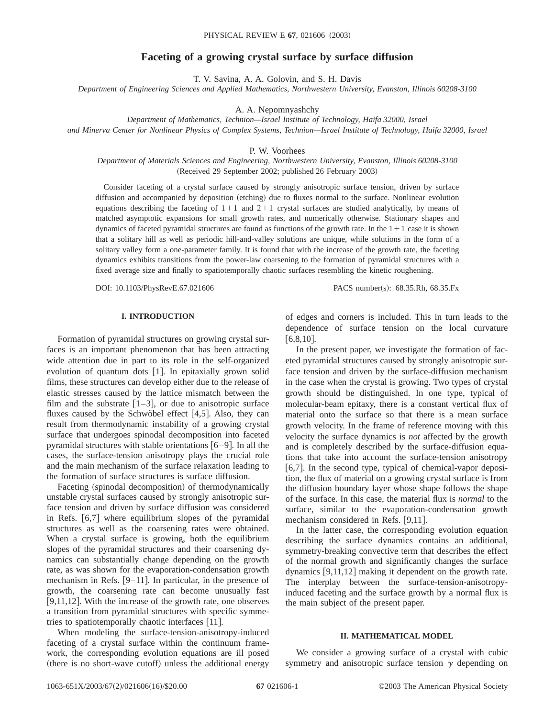# **Faceting of a growing crystal surface by surface diffusion**

T. V. Savina, A. A. Golovin, and S. H. Davis

*Department of Engineering Sciences and Applied Mathematics, Northwestern University, Evanston, Illinois 60208-3100*

A. A. Nepomnyashchy

*Department of Mathematics, Technion—Israel Institute of Technology, Haifa 32000, Israel*

*and Minerva Center for Nonlinear Physics of Complex Systems, Technion—Israel Institute of Technology, Haifa 32000, Israel*

P. W. Voorhees

*Department of Materials Sciences and Engineering, Northwestern University, Evanston, Illinois 60208-3100* (Received 29 September 2002; published 26 February 2003)

Consider faceting of a crystal surface caused by strongly anisotropic surface tension, driven by surface diffusion and accompanied by deposition (etching) due to fluxes normal to the surface. Nonlinear evolution equations describing the faceting of  $1+1$  and  $2+1$  crystal surfaces are studied analytically, by means of matched asymptotic expansions for small growth rates, and numerically otherwise. Stationary shapes and dynamics of faceted pyramidal structures are found as functions of the growth rate. In the  $1+1$  case it is shown that a solitary hill as well as periodic hill-and-valley solutions are unique, while solutions in the form of a solitary valley form a one-parameter family. It is found that with the increase of the growth rate, the faceting dynamics exhibits transitions from the power-law coarsening to the formation of pyramidal structures with a fixed average size and finally to spatiotemporally chaotic surfaces resembling the kinetic roughening.

DOI: 10.1103/PhysRevE.67.021606 PACS number(s): 68.35.Rh, 68.35.Fx

## **I. INTRODUCTION**

Formation of pyramidal structures on growing crystal surfaces is an important phenomenon that has been attracting wide attention due in part to its role in the self-organized evolution of quantum dots  $[1]$ . In epitaxially grown solid films, these structures can develop either due to the release of elastic stresses caused by the lattice mismatch between the film and the substrate  $[1-3]$ , or due to anisotropic surface fluxes caused by the Schwöbel effect  $[4,5]$ . Also, they can result from thermodynamic instability of a growing crystal surface that undergoes spinodal decomposition into faceted pyramidal structures with stable orientations  $[6-9]$ . In all the cases, the surface-tension anisotropy plays the crucial role and the main mechanism of the surface relaxation leading to the formation of surface structures is surface diffusion.

Faceting (spinodal decomposition) of thermodynamically unstable crystal surfaces caused by strongly anisotropic surface tension and driven by surface diffusion was considered in Refs.  $[6,7]$  where equilibrium slopes of the pyramidal structures as well as the coarsening rates were obtained. When a crystal surface is growing, both the equilibrium slopes of the pyramidal structures and their coarsening dynamics can substantially change depending on the growth rate, as was shown for the evaporation-condensation growth mechanism in Refs.  $[9-11]$ . In particular, in the presence of growth, the coarsening rate can become unusually fast [ $9,11,12$ ]. With the increase of the growth rate, one observes a transition from pyramidal structures with specific symmetries to spatiotemporally chaotic interfaces  $[11]$ .

When modeling the surface-tension-anisotropy-induced faceting of a crystal surface within the continuum framework, the corresponding evolution equations are ill posed (there is no short-wave cutoff) unless the additional energy of edges and corners is included. This in turn leads to the dependence of surface tension on the local curvature  $[6,8,10]$ .

In the present paper, we investigate the formation of faceted pyramidal structures caused by strongly anisotropic surface tension and driven by the surface-diffusion mechanism in the case when the crystal is growing. Two types of crystal growth should be distinguished. In one type, typical of molecular-beam epitaxy, there is a constant vertical flux of material onto the surface so that there is a mean surface growth velocity. In the frame of reference moving with this velocity the surface dynamics is *not* affected by the growth and is completely described by the surface-diffusion equations that take into account the surface-tension anisotropy [6,7]. In the second type, typical of chemical-vapor deposition, the flux of material on a growing crystal surface is from the diffusion boundary layer whose shape follows the shape of the surface. In this case, the material flux is *normal* to the surface, similar to the evaporation-condensation growth mechanism considered in Refs. [9,11].

In the latter case, the corresponding evolution equation describing the surface dynamics contains an additional, symmetry-breaking convective term that describes the effect of the normal growth and significantly changes the surface dynamics  $[9,11,12]$  making it dependent on the growth rate. The interplay between the surface-tension-anisotropyinduced faceting and the surface growth by a normal flux is the main subject of the present paper.

### **II. MATHEMATICAL MODEL**

We consider a growing surface of a crystal with cubic symmetry and anisotropic surface tension  $\gamma$  depending on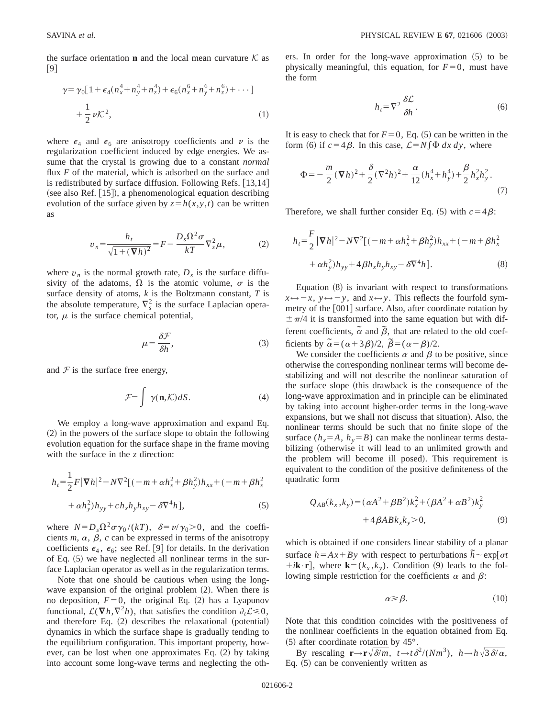the surface orientation **n** and the local mean curvature  $K$  as  $[9]$ 

$$
\gamma = \gamma_0 \left[ 1 + \epsilon_4 (n_x^4 + n_y^4 + n_z^4) + \epsilon_6 (n_x^6 + n_y^6 + n_z^6) + \cdots \right] + \frac{1}{2} \nu \mathcal{K}^2,
$$
\n(1)

where  $\epsilon_4$  and  $\epsilon_6$  are anisotropy coefficients and  $\nu$  is the regularization coefficient induced by edge energies. We assume that the crystal is growing due to a constant *normal* flux *F* of the material, which is adsorbed on the surface and is redistributed by surface diffusion. Following Refs.  $[13,14]$ (see also Ref.  $[15]$ ), a phenomenological equation describing evolution of the surface given by  $z = h(x, y, t)$  can be written as

$$
v_n = \frac{h_t}{\sqrt{1 + (\nabla h)^2}} = F - \frac{D_s \Omega^2 \sigma}{kT} \nabla_s^2 \mu,
$$
 (2)

where  $v_n$  is the normal growth rate,  $D_s$  is the surface diffusivity of the adatoms,  $\Omega$  is the atomic volume,  $\sigma$  is the surface density of atoms, *k* is the Boltzmann constant, *T* is the absolute temperature,  $\nabla_s^2$  is the surface Laplacian operator,  $\mu$  is the surface chemical potential,

$$
\mu = \frac{\delta \mathcal{F}}{\delta h},\tag{3}
$$

and  $\mathcal F$  is the surface free energy,

$$
\mathcal{F} = \int \gamma(\mathbf{n}, \mathcal{K}) dS. \tag{4}
$$

We employ a long-wave approximation and expand Eq.  $(2)$  in the powers of the surface slope to obtain the following evolution equation for the surface shape in the frame moving with the surface in the *z* direction:

$$
h_{t} = \frac{1}{2}F|\nabla h|^{2} - N\nabla^{2} [(-m + \alpha h_{x}^{2} + \beta h_{y}^{2})h_{xx} + (-m + \beta h_{x}^{2} + \alpha h_{y}^{2})h_{yy} + ch_{x}h_{y}h_{xy} - \delta\nabla^{4}h],
$$
\n(5)

where  $N = D_s \Omega^2 \sigma \gamma_0 / (kT)$ ,  $\delta = \nu / \gamma_0 > 0$ , and the coefficients  $m$ ,  $\alpha$ ,  $\beta$ ,  $c$  can be expressed in terms of the anisotropy coefficients  $\epsilon_4$ ,  $\epsilon_6$ ; see Ref. [9] for details. In the derivation of Eq.  $(5)$  we have neglected all nonlinear terms in the surface Laplacian operator as well as in the regularization terms.

Note that one should be cautious when using the longwave expansion of the original problem  $(2)$ . When there is no deposition,  $F=0$ , the original Eq. (2) has a Lyapunov functional,  $\mathcal{L}(\nabla h, \nabla^2 h)$ , that satisfies the condition  $\partial_t \mathcal{L} \leq 0$ , and therefore Eq.  $(2)$  describes the relaxational (potential) dynamics in which the surface shape is gradually tending to the equilibrium configuration. This important property, however, can be lost when one approximates Eq.  $(2)$  by taking into account some long-wave terms and neglecting the others. In order for the long-wave approximation  $(5)$  to be physically meaningful, this equation, for  $F=0$ , must have the form

$$
h_t = \nabla^2 \frac{\delta \mathcal{L}}{\delta h}.
$$
 (6)

It is easy to check that for  $F=0$ , Eq.  $(5)$  can be written in the form (6) if  $c=4\beta$ . In this case,  $\mathcal{L}=N\int \Phi dx dy$ , where

$$
\Phi = -\frac{m}{2}(\nabla h)^2 + \frac{\delta}{2}(\nabla^2 h)^2 + \frac{\alpha}{12}(h_x^4 + h_y^4) + \frac{\beta}{2}h_x^2h_y^2.
$$
\n(7)

Therefore, we shall further consider Eq.  $(5)$  with  $c=4\beta$ :

$$
h_{t} = \frac{F}{2} |\nabla h|^{2} - N \nabla^{2} [(-m + \alpha h_{x}^{2} + \beta h_{y}^{2}) h_{xx} + (-m + \beta h_{x}^{2} + \alpha h_{y}^{2}) h_{yy} + 4 \beta h_{x} h_{y} h_{xy} - \delta \nabla^{4} h].
$$
\n(8)

Equation  $(8)$  is invariant with respect to transformations  $x \leftrightarrow -x$ ,  $y \leftrightarrow -y$ , and  $x \leftrightarrow y$ . This reflects the fourfold symmetry of the  $[001]$  surface. Also, after coordinate rotation by  $\pm \pi/4$  it is transformed into the same equation but with different coefficients,  $\tilde{\alpha}$  and  $\tilde{\beta}$ , that are related to the old coefficients by  $\tilde{\alpha} = (\alpha + 3\beta)/2$ ,  $\tilde{\beta} = (\alpha - \beta)/2$ .

We consider the coefficients  $\alpha$  and  $\beta$  to be positive, since otherwise the corresponding nonlinear terms will become destabilizing and will not describe the nonlinear saturation of the surface slope (this drawback is the consequence of the long-wave approximation and in principle can be eliminated by taking into account higher-order terms in the long-wave expansions, but we shall not discuss that situation). Also, the nonlinear terms should be such that no finite slope of the surface  $(h_x = A, h_y = B)$  can make the nonlinear terms destabilizing (otherwise it will lead to an unlimited growth and the problem will become ill posed). This requirement is equivalent to the condition of the positive definiteness of the quadratic form

$$
Q_{AB}(k_x, k_y) = (\alpha A^2 + \beta B^2)k_x^2 + (\beta A^2 + \alpha B^2)k_y^2 + 4\beta A B k_x k_y > 0,
$$
\n(9)

which is obtained if one considers linear stability of a planar surface  $h = Ax + By$  with respect to perturbations  $\tilde{h} \sim \exp[\sigma t]$  $+i\mathbf{k}\cdot\mathbf{r}$ , where  $\mathbf{k}=(k_x,k_y)$ . Condition (9) leads to the following simple restriction for the coefficients  $\alpha$  and  $\beta$ :

$$
\alpha \geqslant \beta. \tag{10}
$$

Note that this condition coincides with the positiveness of the nonlinear coefficients in the equation obtained from Eq.  $(5)$  after coordinate rotation by 45 $^{\circ}$ .

By rescaling  $\mathbf{r} \rightarrow \mathbf{r}\sqrt{\delta/m}$ ,  $t \rightarrow t\delta^2/(Nm^3)$ ,  $h \rightarrow h\sqrt{3\delta/\alpha}$ , Eq.  $(5)$  can be conveniently written as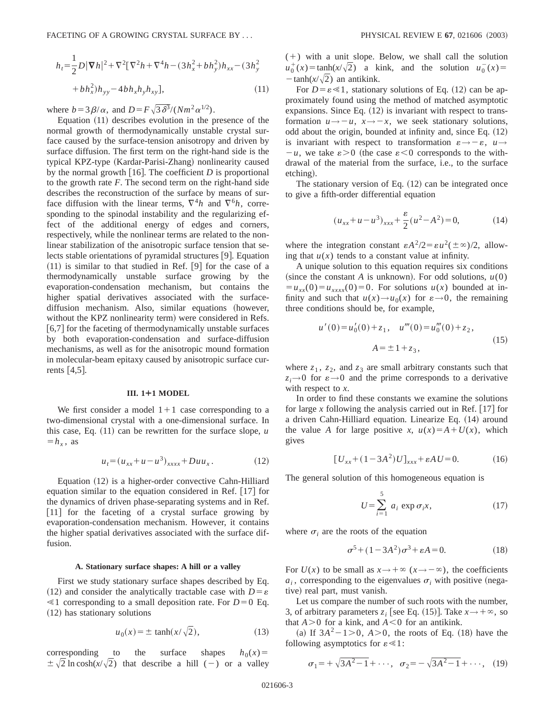$$
h_t = \frac{1}{2}D|\nabla h|^2 + \nabla^2[\nabla^2 h + \nabla^4 h - (3h_x^2 + bh_y^2)h_{xx} - (3h_y^2 + bh_x^2)h_{yy} - 4bh_xh_yh_{xy}],
$$
\n(11)

where  $b=3\beta/\alpha$ , and  $D=F\sqrt{3\delta^3}/(Nm^2\alpha^{1/2})$ .

Equation  $(11)$  describes evolution in the presence of the normal growth of thermodynamically unstable crystal surface caused by the surface-tension anisotropy and driven by surface diffusion. The first term on the right-hand side is the typical KPZ-type (Kardar-Parisi-Zhang) nonlinearity caused by the normal growth  $[16]$ . The coefficient *D* is proportional to the growth rate *F*. The second term on the right-hand side describes the reconstruction of the surface by means of surface diffusion with the linear terms,  $\nabla^4 h$  and  $\nabla^6 h$ , corresponding to the spinodal instability and the regularizing effect of the additional energy of edges and corners, respectively, while the nonlinear terms are related to the nonlinear stabilization of the anisotropic surface tension that selects stable orientations of pyramidal structures [9]. Equation  $(11)$  is similar to that studied in Ref.  $[9]$  for the case of a thermodynamically unstable surface growing by the evaporation-condensation mechanism, but contains the higher spatial derivatives associated with the surfacediffusion mechanism. Also, similar equations (however, without the KPZ nonlinearity term) were considered in Refs.  $[6,7]$  for the faceting of thermodynamically unstable surfaces by both evaporation-condensation and surface-diffusion mechanisms, as well as for the anisotropic mound formation in molecular-beam epitaxy caused by anisotropic surface currents  $|4,5|$ .

### **III. 1¿1 MODEL**

We first consider a model  $1+1$  case corresponding to a two-dimensional crystal with a one-dimensional surface. In this case, Eq.  $(11)$  can be rewritten for the surface slope, *u*  $=h_x$ , as

$$
u_t = (u_{xx} + u - u^3)_{xxxx} + Duu_x. \tag{12}
$$

Equation  $(12)$  is a higher-order convective Cahn-Hilliard equation similar to the equation considered in Ref.  $[17]$  for the dynamics of driven phase-separating systems and in Ref.  $[11]$  for the faceting of a crystal surface growing by evaporation-condensation mechanism. However, it contains the higher spatial derivatives associated with the surface diffusion.

## **A. Stationary surface shapes: A hill or a valley**

First we study stationary surface shapes described by Eq. (12) and consider the analytically tractable case with  $D = \varepsilon$  $\leq 1$  corresponding to a small deposition rate. For *D*=0 Eq.  $(12)$  has stationary solutions

$$
u_0(x) = \pm \tanh(x/\sqrt{2}),\tag{13}
$$

corresponding to the surface shapes  $h_0(x)$  $\pm \sqrt{2} \ln \cosh(x/\sqrt{2})$  that describe a hill (-) or a valley  $(+)$  with a unit slope. Below, we shall call the solution  $u_0^+(x) = \tanh(x/\sqrt{2})$  a kink, and the solution  $u_0^-(x) =$  $-\tanh(x/\sqrt{2})$  an antikink.

For  $D = \varepsilon \ll 1$ , stationary solutions of Eq. (12) can be approximately found using the method of matched asymptotic expansions. Since Eq.  $(12)$  is invariant with respect to transformation  $u \rightarrow -u$ ,  $x \rightarrow -x$ , we seek stationary solutions, odd about the origin, bounded at infinity and, since Eq.  $(12)$ is invariant with respect to transformation  $\varepsilon \rightarrow -\varepsilon$ ,  $u \rightarrow$  $-u$ , we take  $\varepsilon > 0$  (the case  $\varepsilon < 0$  corresponds to the withdrawal of the material from the surface, i.e., to the surface etching).

The stationary version of Eq.  $(12)$  can be integrated once to give a fifth-order differential equation

$$
(u_{xx} + u - u^3)_{xxx} + \frac{\varepsilon}{2}(u^2 - A^2) = 0,
$$
 (14)

where the integration constant  $\epsilon A^2/2 = \epsilon u^2(\pm \infty)/2$ , allowing that  $u(x)$  tends to a constant value at infinity.

A unique solution to this equation requires six conditions (since the constant *A* is unknown). For odd solutions,  $u(0)$  $u_{xx}(0) = u_{xxxx}(0) = 0$ . For solutions  $u(x)$  bounded at infinity and such that  $u(x) \rightarrow u_0(x)$  for  $\varepsilon \rightarrow 0$ , the remaining three conditions should be, for example,

$$
u'(0) = u'_0(0) + z_1, \quad u'''(0) = u''_0(0) + z_2,
$$
  

$$
A = \pm 1 + z_3,
$$
 (15)

where  $z_1$ ,  $z_2$ , and  $z_3$  are small arbitrary constants such that  $z_i \rightarrow 0$  for  $\varepsilon \rightarrow 0$  and the prime corresponds to a derivative with respect to *x*.

In order to find these constants we examine the solutions for large x following the analysis carried out in Ref.  $[17]$  for a driven Cahn-Hilliard equation. Linearize Eq. (14) around the value *A* for large positive *x*,  $u(x)=A+U(x)$ , which gives

$$
[U_{xx} + (1 - 3A^2)U]_{xxx} + \varepsilon A U = 0.
$$
 (16)

The general solution of this homogeneous equation is

$$
U = \sum_{i=1}^{5} a_i \exp \sigma_i x, \qquad (17)
$$

where  $\sigma_i$  are the roots of the equation

$$
\sigma^5 + (1 - 3A^2)\sigma^3 + \varepsilon A = 0.
$$
 (18)

For  $U(x)$  to be small as  $x \to +\infty$  ( $x \to -\infty$ ), the coefficients  $a_i$ , corresponding to the eigenvalues  $\sigma_i$  with positive (negative) real part, must vanish.

Let us compare the number of such roots with the number, 3, of arbitrary parameters  $z_i$  [see Eq. (15)]. Take  $x \rightarrow +\infty$ , so that  $A > 0$  for a kink, and  $A < 0$  for an antikink.

(a) If  $3A^2 - 1 > 0$ ,  $A > 0$ , the roots of Eq. (18) have the following asymptotics for  $\varepsilon \ll 1$ :

$$
\sigma_1 = +\sqrt{3A^2 - 1} + \cdots
$$
,  $\sigma_2 = -\sqrt{3A^2 - 1} + \cdots$ , (19)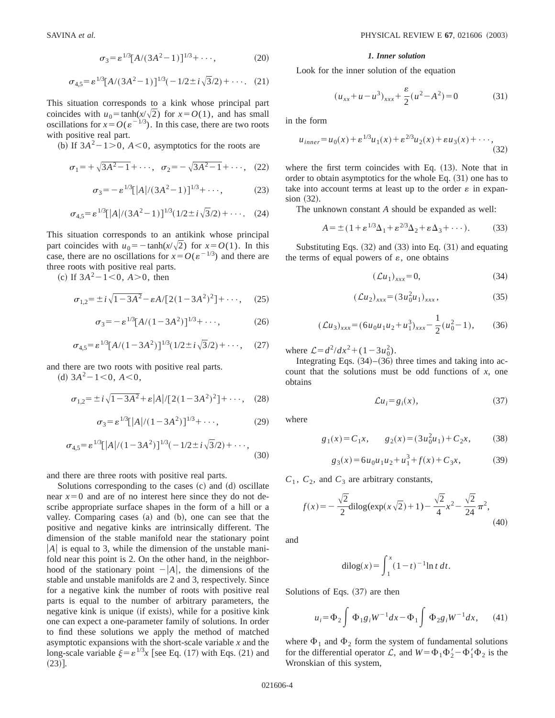$$
\sigma_3 = \varepsilon^{1/3} [A/(3A^2 - 1)]^{1/3} + \cdots,
$$
 (20)

$$
\sigma_{4,5} = \varepsilon^{1/3} [A/(3A^2 - 1)]^{1/3} (-1/2 \pm i\sqrt{3}/2) + \cdots. (21)
$$

This situation corresponds to a kink whose principal part coincides with  $u_0 = \tanh(x/\sqrt{2})$  for  $x = O(1)$ , and has small oscillations for  $x = O(\varepsilon^{-1/3})$ . In this case, there are two roots with positive real part.

(b) If  $3A^2-1>0$ ,  $A<0$ , asymptotics for the roots are

$$
\sigma_1 = +\sqrt{3A^2 - 1} + \cdots
$$
,  $\sigma_2 = -\sqrt{3A^2 - 1} + \cdots$ , (22)

$$
\sigma_3 = -\varepsilon^{1/3} [A]/(3A^2 - 1)]^{1/3} + \cdots,
$$
 (23)

$$
\sigma_{4,5} = \varepsilon^{1/3} \left[ |A| / (3A^2 - 1) \right]^{1/3} (1/2 \pm i \sqrt{3}/2) + \cdots. \tag{24}
$$

This situation corresponds to an antikink whose principal part coincides with  $u_0 = -\tanh(x/\sqrt{2})$  for  $x = O(1)$ . In this case, there are no oscillations for  $x = O(\varepsilon^{-1/3})$  and there are three roots with positive real parts.

(c) If  $3A^2 - 1 < 0$ ,  $A > 0$ , then

$$
\sigma_{1,2} = \pm i \sqrt{1 - 3A^2} - \varepsilon A / [2(1 - 3A^2)^2] + \cdots, \quad (25)
$$

$$
\sigma_3 = -\varepsilon^{1/3} [A/(1 - 3A^2)]^{1/3} + \cdots, \qquad (26)
$$

$$
\sigma_{4,5} = \varepsilon^{1/3} [A/(1 - 3A^2)]^{1/3} (1/2 \pm i\sqrt{3}/2) + \cdots, \quad (27)
$$

and there are two roots with positive real parts.

(d)  $3A^2-1<0$ ,  $A<0$ ,

$$
\sigma_{1,2} = \pm i \sqrt{1 - 3A^2} + \varepsilon |A| / [2(1 - 3A^2)^2] + \cdots, \quad (28)
$$

$$
\sigma_3 = \varepsilon^{1/3} \left[ |A| / (1 - 3A^2) \right]^{1/3} + \cdots, \tag{29}
$$

$$
\sigma_{4,5} = \varepsilon^{1/3} \left[ |A| / (1 - 3A^2) \right]^{1/3} \left( -1/2 \pm i \sqrt{3}/2 \right) + \cdots,
$$
\n(30)

and there are three roots with positive real parts.

Solutions corresponding to the cases  $(c)$  and  $(d)$  oscillate near  $x=0$  and are of no interest here since they do not describe appropriate surface shapes in the form of a hill or a valley. Comparing cases (a) and (b), one can see that the positive and negative kinks are intrinsically different. The dimension of the stable manifold near the stationary point  $|A|$  is equal to 3, while the dimension of the unstable manifold near this point is 2. On the other hand, in the neighborhood of the stationary point  $-|A|$ , the dimensions of the stable and unstable manifolds are 2 and 3, respectively. Since for a negative kink the number of roots with positive real parts is equal to the number of arbitrary parameters, the negative kink is unique (if exists), while for a positive kink one can expect a one-parameter family of solutions. In order to find these solutions we apply the method of matched asymptotic expansions with the short-scale variable *x* and the long-scale variable  $\xi = \varepsilon^{1/3}x$  [see Eq. (17) with Eqs. (21) and  $(23)$ ].

#### *1. Inner solution*

Look for the inner solution of the equation

$$
(u_{xx} + u - u^3)_{xxx} + \frac{\varepsilon}{2}(u^2 - A^2) = 0 \tag{31}
$$

in the form

$$
u_{inner} = u_0(x) + \varepsilon^{1/3} u_1(x) + \varepsilon^{2/3} u_2(x) + \varepsilon u_3(x) + \cdots,
$$
\n(32)

where the first term coincides with Eq.  $(13)$ . Note that in order to obtain asymptotics for the whole Eq.  $(31)$  one has to take into account terms at least up to the order  $\varepsilon$  in expan $sion (32).$ 

The unknown constant *A* should be expanded as well:

$$
A = \pm (1 + \varepsilon^{1/3} \Delta_1 + \varepsilon^{2/3} \Delta_2 + \varepsilon \Delta_3 + \cdots). \tag{33}
$$

Substituting Eqs.  $(32)$  and  $(33)$  into Eq.  $(31)$  and equating the terms of equal powers of  $\varepsilon$ , one obtains

$$
(\mathcal{L}u_1)_{xxx} = 0,\t\t(34)
$$

$$
(\mathcal{L}u_2)_{xxx} = (3u_0^2u_1)_{xxx}, \qquad (35)
$$

$$
(\mathcal{L}u_3)_{xxx} = (6u_0u_1u_2 + u_1^3)_{xxx} - \frac{1}{2}(u_0^2 - 1),
$$
 (36)

where  $\mathcal{L} = d^2/dx^2 + (1 - 3u_0^2)$ .

Integrating Eqs.  $(34)$ – $(36)$  three times and taking into account that the solutions must be odd functions of *x*, one obtains

$$
\mathcal{L}u_i = g_i(x),\tag{37}
$$

where

$$
g_1(x) = C_1 x
$$
,  $g_2(x) = (3u_0^2 u_1) + C_2 x$ , (38)

$$
g_3(x) = 6u_0u_1u_2 + u_1^3 + f(x) + C_3x,
$$
 (39)

 $C_1$ ,  $C_2$ , and  $C_3$  are arbitrary constants,

$$
f(x) = -\frac{\sqrt{2}}{2} \operatorname{dilog}(\exp(x\sqrt{2}) + 1) - \frac{\sqrt{2}}{4}x^2 - \frac{\sqrt{2}}{24}\pi^2,
$$
\n(40)

and

$$
dilog(x) = \int_1^x (1 - t)^{-1} \ln t \, dt.
$$

Solutions of Eqs.  $(37)$  are then

$$
u_i = \Phi_2 \int \Phi_1 g_i W^{-1} dx - \Phi_1 \int \Phi_2 g_i W^{-1} dx, \qquad (41)
$$

where  $\Phi_1$  and  $\Phi_2$  form the system of fundamental solutions for the differential operator L, and  $W = \Phi_1 \Phi_2' - \Phi_1' \Phi_2$  is the Wronskian of this system,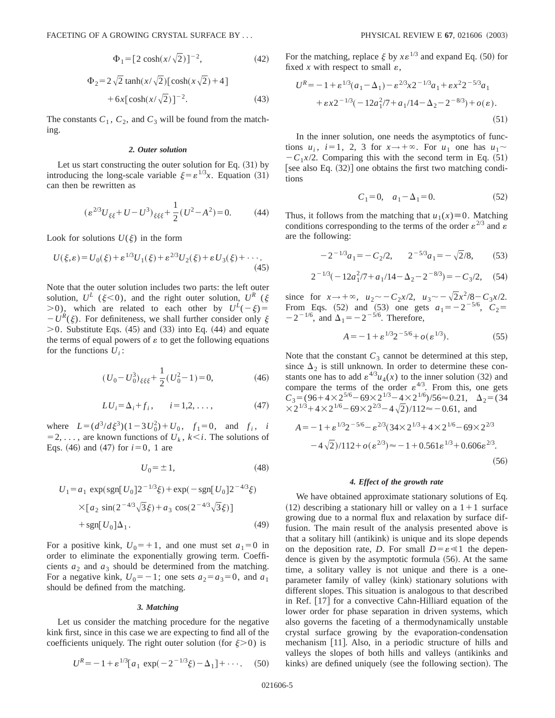$$
\Phi_1 = [2 \cosh(x/\sqrt{2})]^{-2},\tag{42}
$$

$$
\Phi_2 = 2\sqrt{2} \tanh(x/\sqrt{2}) [\cosh(x\sqrt{2}) + 4] + 6x [\cosh(x/\sqrt{2})]^{-2}.
$$
\n(43)

The constants  $C_1$ ,  $C_2$ , and  $C_3$  will be found from the matching.

## *2. Outer solution*

Let us start constructing the outer solution for Eq.  $(31)$  by introducing the long-scale variable  $\xi = \varepsilon^{1/3}x$ . Equation (31) can then be rewritten as

$$
(\varepsilon^{2/3}U_{\xi\xi} + U - U^3)_{\xi\xi\xi} + \frac{1}{2}(U^2 - A^2) = 0.
$$
 (44)

Look for solutions  $U(\xi)$  in the form

$$
U(\xi,\varepsilon) = U_0(\xi) + \varepsilon^{1/3} U_1(\xi) + \varepsilon^{2/3} U_2(\xi) + \varepsilon U_3(\xi) + \cdots
$$
\n(45)

Note that the outer solution includes two parts: the left outer solution,  $U^L$  ( $\xi$ <0), and the right outer solution,  $U^R$  ( $\xi$  $>0$ ), which are related to each other by  $U^L(-\xi)$ =  $-U^R(\xi)$ . For definiteness, we shall further consider only  $\xi$  $>0$ . Substitute Eqs. (45) and (33) into Eq. (44) and equate the terms of equal powers of  $\varepsilon$  to get the following equations for the functions  $U_i$ :

$$
(U_0 - U_0^3)_{\xi\xi\xi} + \frac{1}{2}(U_0^2 - 1) = 0,
$$
\n(46)

$$
LU_i = \Delta_i + f_i, \qquad i = 1, 2, \dots,
$$
 (47)

where  $L = (d^3/d\xi^3)(1-3U_0^2) + U_0$ ,  $f_1 = 0$ , and  $f_i$ , *i*  $=$  2, ..., are known functions of  $U_k$ ,  $k \le i$ . The solutions of Eqs.  $(46)$  and  $(47)$  for  $i=0, 1$  are

$$
U_0 = \pm 1,\tag{48}
$$

$$
U_1 = a_1 \exp(\text{sgn}[U_0]2^{-1/3}\xi) + \exp(-\text{sgn}[U_0]2^{-4/3}\xi)
$$
  
×[ $a_2 \sin(2^{-4/3}\sqrt{3}\xi) + a_3 \cos(2^{-4/3}\sqrt{3}\xi)$ ]  
+sgn[ $U_0$ ] $\Delta_1$ . (49)

For a positive kink,  $U_0 = +1$ , and one must set  $a_1 = 0$  in order to eliminate the exponentially growing term. Coefficients  $a_2$  and  $a_3$  should be determined from the matching. For a negative kink,  $U_0 = -1$ ; one sets  $a_2 = a_3 = 0$ , and  $a_1$ should be defined from the matching.

### *3. Matching*

Let us consider the matching procedure for the negative kink first, since in this case we are expecting to find all of the coefficients uniquely. The right outer solution (for  $\xi > 0$ ) is

$$
U^{R} = -1 + \varepsilon^{1/3} [a_1 \exp(-2^{-1/3}\xi) - \Delta_1] + \cdots
$$
 (50)

For the matching, replace  $\xi$  by  $x \in \mathbb{R}^{1/3}$  and expand Eq. (50) for fixed x with respect to small  $\varepsilon$ ,

$$
U^{R} = -1 + \varepsilon^{1/3} (a_1 - \Delta_1) - \varepsilon^{2/3} x 2^{-1/3} a_1 + \varepsilon x^2 2^{-5/3} a_1
$$
  
+  $\varepsilon x 2^{-1/3} (-12a_1^2/7 + a_1/14 - \Delta_2 - 2^{-8/3}) + o(\varepsilon)$ . (51)

In the inner solution, one needs the asymptotics of functions  $u_i$ ,  $i=1$ , 2, 3 for  $x \rightarrow +\infty$ . For  $u_1$  one has  $u_1 \sim$  $-C_1x/2$ . Comparing this with the second term in Eq. (51) [see also Eq.  $(32)$ ] one obtains the first two matching conditions

$$
C_1 = 0, \quad a_1 - \Delta_1 = 0. \tag{52}
$$

Thus, it follows from the matching that  $u_1(x) \equiv 0$ . Matching conditions corresponding to the terms of the order  $\varepsilon^{2/3}$  and  $\varepsilon$ are the following:

$$
-2^{-1/3}a_1 = -C_2/2, \qquad 2^{-5/3}a_1 = -\sqrt{2}/8,\tag{53}
$$

$$
2^{-1/3}(-12a_1^2/7 + a_1/14 - \Delta_2 - 2^{-8/3}) = -C_3/2, \quad (54)
$$

since for  $x \to +\infty$ ,  $u_2 \sim -C_2 x/2$ ,  $u_3 \sim -\sqrt{2x^2/8}-C_3 x/2$ . From Eqs. (52) and (53) one gets  $a_1 = -2^{-5/6}$ ,  $C_2 =$  $-2^{-1/6}$ , and  $\Delta_1 = -2^{-5/6}$ . Therefore,

$$
A = -1 + \varepsilon^{1/3} 2^{-5/6} + o(\varepsilon^{1/3}).
$$
 (55)

Note that the constant  $C_3$  cannot be determined at this step, since  $\Delta_2$  is still unknown. In order to determine these constants one has to add  $\varepsilon^{4/3}u_4(x)$  to the inner solution (32) and compare the terms of the order  $\varepsilon^{4/3}$ . From this, one gets  $C_3 = (96 + 4 \times 2^{5/6} - 69 \times 2^{1/3} - 4 \times 2^{1/6})/56 \approx 0.21, \quad \Delta_2 = (34$  $\times 2^{1/3}$ +4×2<sup>1/6</sup> – 69×2<sup>2/3</sup> – 4 $\sqrt{2}$ )/112≈ – 0.61, and  $A=-1+\epsilon^{1/3}2^{-5/6}-\epsilon^{2/3}(34\times2^{1/3}+4\times2^{1/6}-69\times2^{2/3})$  $-4\sqrt{2}$ )/112+ $o(\varepsilon^{2/3}) \approx -1+0.561\varepsilon^{1/3}+0.606\varepsilon^{2/3}.$ 

$$
(56)
$$

# *4. Effect of the growth rate*

We have obtained approximate stationary solutions of Eq.  $(12)$  describing a stationary hill or valley on a  $1+1$  surface growing due to a normal flux and relaxation by surface diffusion. The main result of the analysis presented above is that a solitary hill (antikink) is unique and its slope depends on the deposition rate, *D*. For small  $D = \varepsilon \ll 1$  the dependence is given by the asymptotic formula  $(56)$ . At the same time, a solitary valley is not unique and there is a oneparameter family of valley (kink) stationary solutions with different slopes. This situation is analogous to that described in Ref.  $[17]$  for a convective Cahn-Hilliard equation of the lower order for phase separation in driven systems, which also governs the faceting of a thermodynamically unstable crystal surface growing by the evaporation-condensation mechanism [11]. Also, in a periodic structure of hills and valleys the slopes of both hills and valleys (antikinks and kinks) are defined uniquely (see the following section). The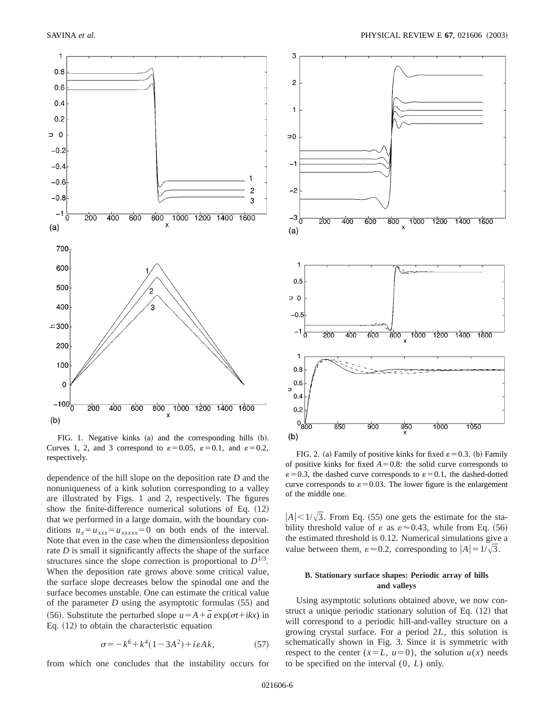

FIG. 1. Negative kinks  $(a)$  and the corresponding hills  $(b)$ . Curves 1, 2, and 3 correspond to  $\varepsilon = 0.05$ ,  $\varepsilon = 0.1$ , and  $\varepsilon = 0.2$ , respectively. FIG. 2. (a) Family of positive kinks for fixed  $\varepsilon = 0.3$ . (b) Family respectively.

dependence of the hill slope on the deposition rate *D* and the nonuniqueness of a kink solution corresponding to a valley are illustrated by Figs. 1 and 2, respectively. The figures show the finite-difference numerical solutions of Eq.  $(12)$ that we performed in a large domain, with the boundary conditions  $u_x = u_{xxxx} = u_{xxxx} = 0$  on both ends of the interval. Note that even in the case when the dimensionless deposition rate *D* is small it significantly affects the shape of the surface structures since the slope correction is proportional to  $D^{1/3}$ . When the deposition rate grows above some critical value, the surface slope decreases below the spinodal one and the surface becomes unstable. One can estimate the critical value of the parameter  $D$  using the asymptotic formulas  $(55)$  and (56). Substitute the perturbed slope  $u = A + \tilde{a} \exp(\sigma t + ikx)$  in Eq.  $(12)$  to obtain the characteristic equation

$$
\sigma = -k^6 + k^4(1 - 3A^2) + i\varepsilon Ak,\tag{57}
$$

from which one concludes that the instability occurs for



of positive kinks for fixed  $A=0.8$ : the solid curve corresponds to  $\varepsilon$  = 0.3, the dashed curve corresponds to  $\varepsilon$  = 0.1, the dashed-dotted curve corresponds to  $\varepsilon = 0.03$ . The lower figure is the enlargement of the middle one.

 $|A|$  <  $1/\sqrt{3}$ . From Eq. (55) one gets the estimate for the stability threshold value of  $\varepsilon$  as  $\varepsilon \approx 0.43$ , while from Eq. (56) the estimated threshold is 0.12. Numerical simulations give a value between them,  $\varepsilon \approx 0.2$ , corresponding to  $|A| = 1/\sqrt{3}$ .

# **B. Stationary surface shapes: Periodic array of hills and valleys**

Using asymptotic solutions obtained above, we now construct a unique periodic stationary solution of Eq.  $(12)$  that will correspond to a periodic hill-and-valley structure on a growing crystal surface. For a period 2*L*, this solution is schematically shown in Fig. 3. Since it is symmetric with respect to the center  $(x=L, u=0)$ , the solution  $u(x)$  needs to be specified on the interval (0, *L*) only.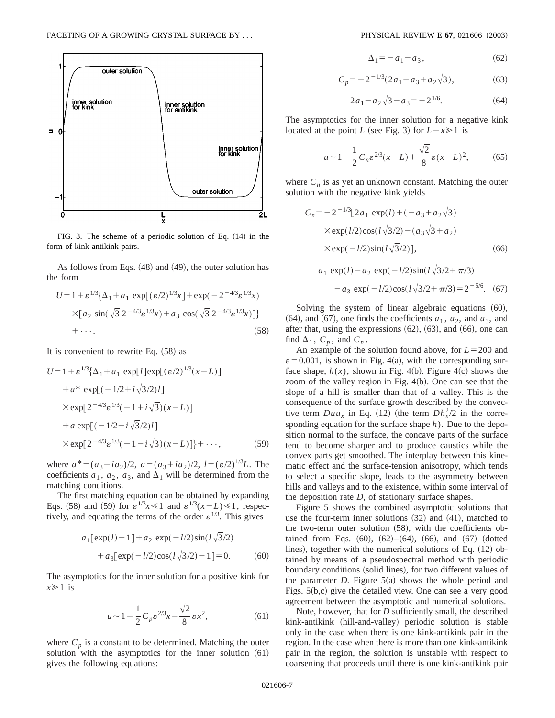

FIG. 3. The scheme of a periodic solution of Eq.  $(14)$  in the form of kink-antikink pairs.

As follows from Eqs.  $(48)$  and  $(49)$ , the outer solution has the form

$$
U = 1 + \varepsilon^{1/3} {\{\Delta_1 + a_1 \exp[(\varepsilon/2)^{1/3}x] + \exp(-2^{-4/3}\varepsilon^{1/3}x) \times [a_2 \sin(\sqrt{3} 2^{-4/3}\varepsilon^{1/3}x) + a_3 \cos(\sqrt{3} 2^{-4/3}\varepsilon^{1/3}x)]\}}
$$
\n
$$
+ \cdots.
$$
\n(58)

It is convenient to rewrite Eq.  $(58)$  as

$$
U = 1 + \varepsilon^{1/3} {\{\Delta_1 + a_1 \exp[l] \exp[(\varepsilon/2)^{1/3}(x - L)]\n+ a^* \exp[(-1/2 + i\sqrt{3}/2)l]\n} \times \exp[2^{-4/3} \varepsilon^{1/3}(-1 + i\sqrt{3})(x - L)]\n+ a \exp[(-1/2 - i\sqrt{3}/2)l]\n\times \exp[2^{-4/3} \varepsilon^{1/3}(-1 - i\sqrt{3})(x - L)] + \cdots, \tag{59}
$$

where  $a^*=(a_3-ia_2)/2$ ,  $a=(a_3+ia_2)/2$ ,  $l=(\varepsilon/2)^{1/3}L$ . The coefficients  $a_1$ ,  $a_2$ ,  $a_3$ , and  $\Delta_1$  will be determined from the matching conditions.

The first matching equation can be obtained by expanding Eqs. (58) and (59) for  $\varepsilon^{1/3}x \le 1$  and  $\varepsilon^{1/3}(x-L) \le 1$ , respectively, and equating the terms of the order  $\varepsilon^{1/3}$ . This gives

$$
a_1[\exp(l) - 1] + a_2 \exp(-l/2)\sin(l\sqrt{3}/2) + a_3[\exp(-l/2)\cos(l\sqrt{3}/2) - 1] = 0.
$$
 (60)

The asymptotics for the inner solution for a positive kink for  $x \geq 1$  is

$$
u \sim 1 - \frac{1}{2} C_p \varepsilon^{2/3} x - \frac{\sqrt{2}}{8} \varepsilon x^2, \tag{61}
$$

where  $C_p$  is a constant to be determined. Matching the outer solution with the asymptotics for the inner solution  $(61)$ gives the following equations:

$$
\Delta_1 = -a_1 - a_3,\tag{62}
$$

$$
C_p = -2^{-1/3} (2a_1 - a_3 + a_2 \sqrt{3}), \tag{63}
$$

$$
2a_1 - a_2\sqrt{3} - a_3 = -2^{1/6}.
$$
 (64)

The asymptotics for the inner solution for a negative kink located at the point *L* (see Fig. 3) for  $L-x \ge 1$  is

$$
u \sim 1 - \frac{1}{2} C_n \varepsilon^{2/3} (x - L) + \frac{\sqrt{2}}{8} \varepsilon (x - L)^2, \tag{65}
$$

where  $C_n$  is as yet an unknown constant. Matching the outer solution with the negative kink yields

$$
C_n = -2^{-1/3} [2a_1 \exp(l) + (-a_3 + a_2 \sqrt{3})
$$
  
× $\exp(l/2)\cos(l\sqrt{3}/2) - (a_3\sqrt{3} + a_2)$   
× $\exp(-l/2)\sin(l\sqrt{3}/2)],$  (66)

$$
a_1 \exp(l) - a_2 \exp(-l/2)\sin(l\sqrt{3}/2 + \pi/3)
$$
  
- a\_3 \exp(-l/2)\cos(l\sqrt{3}/2 + \pi/3) = 2<sup>-5/6</sup>. (67)

Solving the system of linear algebraic equations  $(60)$ ,  $(64)$ , and  $(67)$ , one finds the coefficients  $a_1$ ,  $a_2$ , and  $a_3$ , and after that, using the expressions  $(62)$ ,  $(63)$ , and  $(66)$ , one can find  $\Delta_1$ ,  $C_p$ , and  $C_n$ .

An example of the solution found above, for  $L = 200$  and  $\varepsilon$  = 0.001, is shown in Fig. 4(a), with the corresponding surface shape,  $h(x)$ , shown in Fig. 4(b). Figure 4(c) shows the zoom of the valley region in Fig.  $4(b)$ . One can see that the slope of a hill is smaller than that of a valley. This is the consequence of the surface growth described by the convective term  $Duu_x$  in Eq. (12) (the term  $Dh_x^2/2$  in the corresponding equation for the surface shape *h*). Due to the deposition normal to the surface, the concave parts of the surface tend to become sharper and to produce caustics while the convex parts get smoothed. The interplay between this kinematic effect and the surface-tension anisotropy, which tends to select a specific slope, leads to the asymmetry between hills and valleys and to the existence, within some interval of the deposition rate *D*, of stationary surface shapes.

Figure 5 shows the combined asymptotic solutions that use the four-term inner solutions  $(32)$  and  $(41)$ , matched to the two-term outer solution  $(58)$ , with the coefficients obtained from Eqs.  $(60)$ ,  $(62)–(64)$ ,  $(66)$ , and  $(67)$  (dotted lines), together with the numerical solutions of Eq.  $(12)$  obtained by means of a pseudospectral method with periodic boundary conditions (solid lines), for two different values of the parameter *D*. Figure  $5(a)$  shows the whole period and Figs.  $5(b,c)$  give the detailed view. One can see a very good agreement between the asymptotic and numerical solutions.

Note, however, that for *D* sufficiently small, the described kink-antikink (hill-and-valley) periodic solution is stable only in the case when there is one kink-antikink pair in the region. In the case when there is more than one kink-antikink pair in the region, the solution is unstable with respect to coarsening that proceeds until there is one kink-antikink pair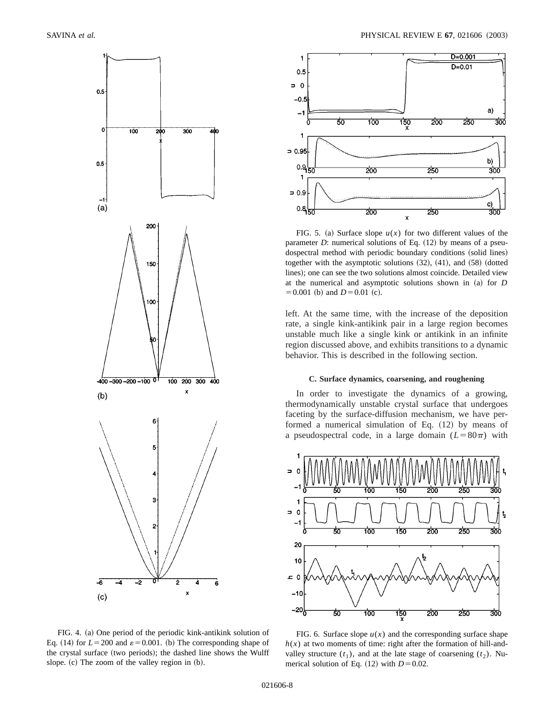

10

FIG. 4. (a) One period of the periodic kink-antikink solution of Eq. (14) for  $L = 200$  and  $\varepsilon = 0.001$ . (b) The corresponding shape of the crystal surface (two periods); the dashed line shows the Wulff slope.  $(c)$  The zoom of the valley region in  $(b)$ .



FIG. 5. (a) Surface slope  $u(x)$  for two different values of the parameter  $D$ : numerical solutions of Eq.  $(12)$  by means of a pseudospectral method with periodic boundary conditions (solid lines) together with the asymptotic solutions  $(32)$ ,  $(41)$ , and  $(58)$  (dotted lines); one can see the two solutions almost coincide. Detailed view at the numerical and asymptotic solutions shown in (a) for *D*  $=0.001$  (b) and  $D=0.01$  (c).

left. At the same time, with the increase of the deposition rate, a single kink-antikink pair in a large region becomes unstable much like a single kink or antikink in an infinite region discussed above, and exhibits transitions to a dynamic behavior. This is described in the following section.

# **C. Surface dynamics, coarsening, and roughening**

In order to investigate the dynamics of a growing, thermodynamically unstable crystal surface that undergoes faceting by the surface-diffusion mechanism, we have performed a numerical simulation of Eq.  $(12)$  by means of a pseudospectral code, in a large domain  $(L=80\pi)$  with



FIG. 6. Surface slope  $u(x)$  and the corresponding surface shape  $h(x)$  at two moments of time: right after the formation of hill-andvalley structure  $(t_1)$ , and at the late stage of coarsening  $(t_2)$ . Numerical solution of Eq.  $(12)$  with  $D=0.02$ .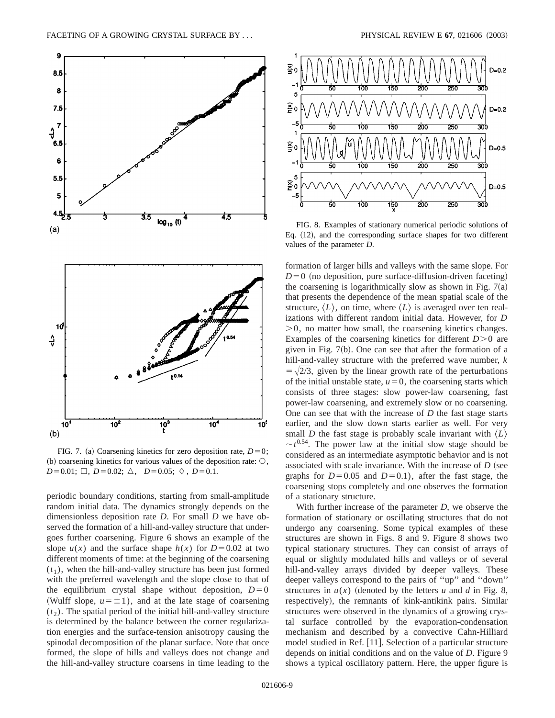

FIG. 7. (a) Coarsening kinetics for zero deposition rate,  $D=0$ ; (b) coarsening kinetics for various values of the deposition rate:  $\circlearrowleft$ ,  $D=0.01; \Box, D=0.02; \triangle, D=0.05; \diamond, D=0.1.$ 

periodic boundary conditions, starting from small-amplitude random initial data. The dynamics strongly depends on the dimensionless deposition rate *D*. For small *D* we have observed the formation of a hill-and-valley structure that undergoes further coarsening. Figure 6 shows an example of the slope  $u(x)$  and the surface shape  $h(x)$  for  $D=0.02$  at two different moments of time: at the beginning of the coarsening  $(t_1)$ , when the hill-and-valley structure has been just formed with the preferred wavelength and the slope close to that of the equilibrium crystal shape without deposition,  $D=0$ (Wulff slope,  $u = \pm 1$ ), and at the late stage of coarsening  $(t<sub>2</sub>)$ . The spatial period of the initial hill-and-valley structure is determined by the balance between the corner regularization energies and the surface-tension anisotropy causing the spinodal decomposition of the planar surface. Note that once formed, the slope of hills and valleys does not change and the hill-and-valley structure coarsens in time leading to the



FIG. 8. Examples of stationary numerical periodic solutions of Eq.  $(12)$ , and the corresponding surface shapes for two different values of the parameter *D*.

formation of larger hills and valleys with the same slope. For  $D=0$  (no deposition, pure surface-diffusion-driven faceting) the coarsening is logarithmically slow as shown in Fig.  $7(a)$ that presents the dependence of the mean spatial scale of the structure,  $\langle L \rangle$ , on time, where  $\langle L \rangle$  is averaged over ten realizations with different random initial data. However, for *D*  $>0$ , no matter how small, the coarsening kinetics changes. Examples of the coarsening kinetics for different  $D>0$  are given in Fig.  $7(b)$ . One can see that after the formation of a hill-and-valley structure with the preferred wave number, *k*  $=$   $\sqrt{2}/3$ , given by the linear growth rate of the perturbations of the initial unstable state,  $u=0$ , the coarsening starts which consists of three stages: slow power-law coarsening, fast power-law coarsening, and extremely slow or no coarsening. One can see that with the increase of *D* the fast stage starts earlier, and the slow down starts earlier as well. For very small *D* the fast stage is probably scale invariant with  $\langle L \rangle$  $\sim t^{0.54}$ . The power law at the initial slow stage should be considered as an intermediate asymptotic behavior and is not associated with scale invariance. With the increase of *D* (see graphs for  $D=0.05$  and  $D=0.1$ ), after the fast stage, the coarsening stops completely and one observes the formation of a stationary structure.

With further increase of the parameter *D*, we observe the formation of stationary or oscillating structures that do not undergo any coarsening. Some typical examples of these structures are shown in Figs. 8 and 9. Figure 8 shows two typical stationary structures. They can consist of arrays of equal or slightly modulated hills and valleys or of several hill-and-valley arrays divided by deeper valleys. These deeper valleys correspond to the pairs of ''up'' and ''down'' structures in  $u(x)$  (denoted by the letters *u* and *d* in Fig. 8, respectively), the remnants of kink-antikink pairs. Similar structures were observed in the dynamics of a growing crystal surface controlled by the evaporation-condensation mechanism and described by a convective Cahn-Hilliard model studied in Ref. [11]. Selection of a particular structure depends on initial conditions and on the value of *D*. Figure 9 shows a typical oscillatory pattern. Here, the upper figure is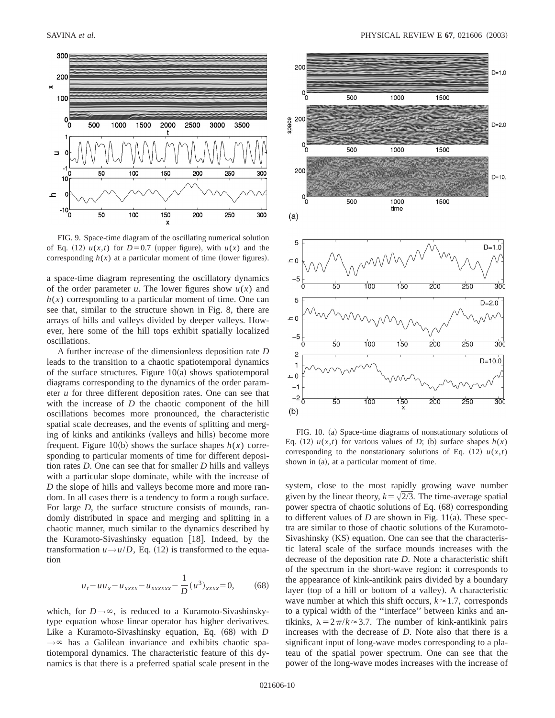

FIG. 9. Space-time diagram of the oscillating numerical solution of Eq. (12)  $u(x,t)$  for  $D=0.7$  (upper figure), with  $u(x)$  and the corresponding  $h(x)$  at a particular moment of time (lower figures).

a space-time diagram representing the oscillatory dynamics of the order parameter *u*. The lower figures show  $u(x)$  and  $h(x)$  corresponding to a particular moment of time. One can see that, similar to the structure shown in Fig. 8, there are arrays of hills and valleys divided by deeper valleys. However, here some of the hill tops exhibit spatially localized oscillations.

A further increase of the dimensionless deposition rate *D* leads to the transition to a chaotic spatiotemporal dynamics of the surface structures. Figure  $10(a)$  shows spatiotemporal diagrams corresponding to the dynamics of the order parameter *u* for three different deposition rates. One can see that with the increase of *D* the chaotic component of the hill oscillations becomes more pronounced, the characteristic spatial scale decreases, and the events of splitting and merging of kinks and antikinks (valleys and hills) become more frequent. Figure 10(b) shows the surface shapes  $h(x)$  corresponding to particular moments of time for different deposition rates *D*. One can see that for smaller *D* hills and valleys with a particular slope dominate, while with the increase of *D* the slope of hills and valleys become more and more random. In all cases there is a tendency to form a rough surface. For large *D*, the surface structure consists of mounds, randomly distributed in space and merging and splitting in a chaotic manner, much similar to the dynamics described by the Kuramoto-Sivashinsky equation  $[18]$ . Indeed, by the transformation  $u \rightarrow u/D$ , Eq. (12) is transformed to the equation

$$
u_t - u u_x - u_{xxxxx} - u_{xxxxx} - \frac{1}{D} (u^3)_{xxxxx} = 0,
$$
 (68)

which, for  $D \rightarrow \infty$ , is reduced to a Kuramoto-Sivashinskytype equation whose linear operator has higher derivatives. Like a Kuramoto-Sivashinsky equation, Eq.  $(68)$  with *D*  $\rightarrow \infty$  has a Galilean invariance and exhibits chaotic spatiotemporal dynamics. The characteristic feature of this dynamics is that there is a preferred spatial scale present in the



FIG. 10. (a) Space-time diagrams of nonstationary solutions of Eq. (12)  $u(x,t)$  for various values of *D*; (b) surface shapes  $h(x)$ corresponding to the nonstationary solutions of Eq.  $(12)$   $u(x,t)$ shown in (a), at a particular moment of time.

system, close to the most rapidly growing wave number given by the linear theory,  $k=\sqrt{2/3}$ . The time-average spatial power spectra of chaotic solutions of Eq.  $(68)$  corresponding to different values of  $D$  are shown in Fig. 11(a). These spectra are similar to those of chaotic solutions of the Kuramoto- $Sivashinsky (KS) equation. One can see that the characteris$ tic lateral scale of the surface mounds increases with the decrease of the deposition rate *D*. Note a characteristic shift of the spectrum in the short-wave region: it corresponds to the appearance of kink-antikink pairs divided by a boundary layer (top of a hill or bottom of a valley). A characteristic wave number at which this shift occurs,  $k \approx 1.7$ , corresponds to a typical width of the ''interface'' between kinks and antikinks,  $\lambda = 2\pi/k \approx 3.7$ . The number of kink-antikink pairs increases with the decrease of *D*. Note also that there is a significant input of long-wave modes corresponding to a plateau of the spatial power spectrum. One can see that the power of the long-wave modes increases with the increase of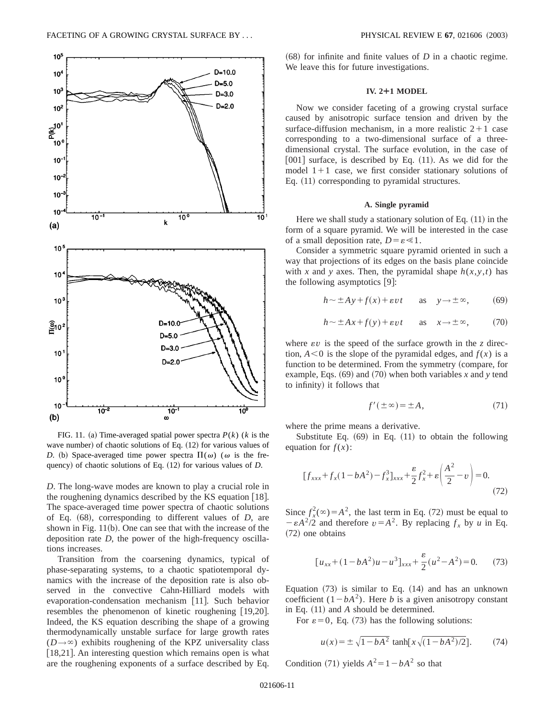

FIG. 11. (a) Time-averaged spatial power spectra  $P(k)$  (*k* is the wave number) of chaotic solutions of Eq.  $(12)$  for various values of *D*. (b) Space-averaged time power spectra  $\Pi(\omega)$  ( $\omega$  is the frequency) of chaotic solutions of Eq. (12) for various values of *D*.

*D*. The long-wave modes are known to play a crucial role in the roughening dynamics described by the KS equation  $[18]$ . The space-averaged time power spectra of chaotic solutions of Eq. (68), corresponding to different values of *D*, are shown in Fig.  $11(b)$ . One can see that with the increase of the deposition rate *D*, the power of the high-frequency oscillations increases.

Transition from the coarsening dynamics, typical of phase-separating systems, to a chaotic spatiotemporal dynamics with the increase of the deposition rate is also observed in the convective Cahn-Hilliard models with evaporation-condensation mechanism [11]. Such behavior resembles the phenomenon of kinetic roughening  $[19,20]$ . Indeed, the KS equation describing the shape of a growing thermodynamically unstable surface for large growth rates  $(D \rightarrow \infty)$  exhibits roughening of the KPZ universality class [ $18,21$ ]. An interesting question which remains open is what are the roughening exponents of a surface described by Eq.

 $(68)$  for infinite and finite values of *D* in a chaotic regime. We leave this for future investigations.

### **IV. 2¿1 MODEL**

Now we consider faceting of a growing crystal surface caused by anisotropic surface tension and driven by the surface-diffusion mechanism, in a more realistic  $2+1$  case corresponding to a two-dimensional surface of a threedimensional crystal. The surface evolution, in the case of  $[001]$  surface, is described by Eq.  $(11)$ . As we did for the model  $1+1$  case, we first consider stationary solutions of Eq.  $(11)$  corresponding to pyramidal structures.

# **A. Single pyramid**

Here we shall study a stationary solution of Eq.  $(11)$  in the form of a square pyramid. We will be interested in the case of a small deposition rate,  $D = \varepsilon \ll 1$ .

Consider a symmetric square pyramid oriented in such a way that projections of its edges on the basis plane coincide with *x* and *y* axes. Then, the pyramidal shape  $h(x, y, t)$  has the following asymptotics  $[9]$ :

$$
h \sim \pm Ay + f(x) + \varepsilon vt
$$
 as  $y \to \pm \infty$ , (69)

$$
h \sim \pm Ax + f(y) + \varepsilon vt
$$
 as  $x \to \pm \infty$ , (70)

where  $\epsilon v$  is the speed of the surface growth in the *z* direction,  $A \leq 0$  is the slope of the pyramidal edges, and  $f(x)$  is a function to be determined. From the symmetry (compare, for example, Eqs.  $(69)$  and  $(70)$  when both variables *x* and *y* tend to infinity) it follows that

$$
f'(\pm \infty) = \pm A,\tag{71}
$$

where the prime means a derivative.

Substitute Eq.  $(69)$  in Eq.  $(11)$  to obtain the following equation for  $f(x)$ :

$$
[f_{xxx} + f_x(1 - bA^2) - f_x^3]_{xxx} + \frac{\varepsilon}{2} f_x^2 + \varepsilon \left(\frac{A^2}{2} - v\right) = 0.
$$
\n(72)

Since  $f_x^2(\infty) = A^2$ , the last term in Eq. (72) must be equal to  $-\varepsilon A^2/2$  and therefore  $v = A^2$ . By replacing  $f_x$  by *u* in Eq. (72) one obtains

$$
[u_{xx} + (1 - bA^2)u - u^3]_{xxx} + \frac{\varepsilon}{2}(u^2 - A^2) = 0.
$$
 (73)

Equation  $(73)$  is similar to Eq.  $(14)$  and has an unknown coefficient  $(1-bA^2)$ . Here *b* is a given anisotropy constant in Eq.  $(11)$  and *A* should be determined.

For  $\varepsilon = 0$ , Eq. (73) has the following solutions:

$$
u(x) = \pm \sqrt{1 - bA^2} \tanh[x\sqrt{(1 - bA^2)/2}].
$$
 (74)

Condition (71) yields  $A^2 = 1 - bA^2$  so that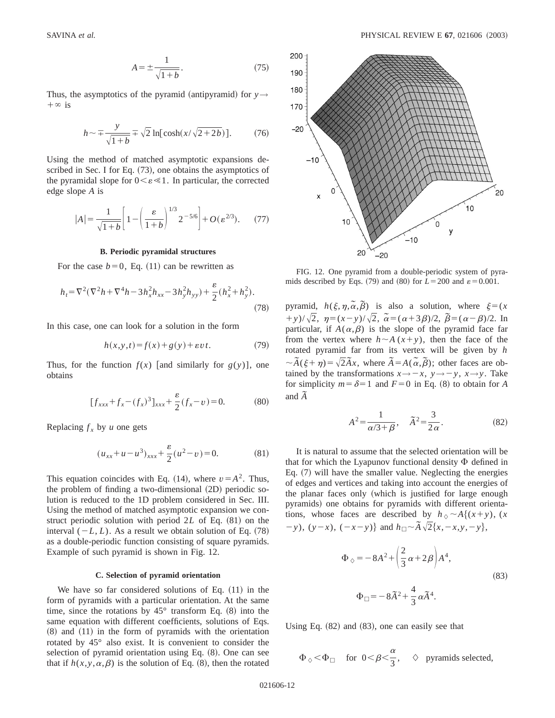$$
A = \pm \frac{1}{\sqrt{1+b}}.\tag{75}
$$

Thus, the asymptotics of the pyramid (antipyramid) for  $y \rightarrow$  $+\infty$  is

$$
h \sim \pm \frac{y}{\sqrt{1+b}} \pm \sqrt{2} \ln[\cosh(x/\sqrt{2+2b})].
$$
 (76)

Using the method of matched asymptotic expansions described in Sec. I for Eq.  $(73)$ , one obtains the asymptotics of the pyramidal slope for  $0 \leq \varepsilon \leq 1$ . In particular, the corrected edge slope *A* is

$$
|A| = \frac{1}{\sqrt{1+b}} \left[ 1 - \left( \frac{\varepsilon}{1+b} \right)^{1/3} 2^{-5/6} \right] + O(\varepsilon^{2/3}).
$$
 (77)

### **B. Periodic pyramidal structures**

For the case  $b=0$ , Eq. (11) can be rewritten as

$$
h_t = \nabla^2(\nabla^2 h + \nabla^4 h - 3h_x^2 h_{xx} - 3h_y^2 h_{yy}) + \frac{\varepsilon}{2}(h_x^2 + h_y^2).
$$
\n(78)

In this case, one can look for a solution in the form

$$
h(x, y, t) = f(x) + g(y) + \varepsilon vt.
$$
 (79)

Thus, for the function  $f(x)$  [and similarly for  $g(y)$ ], one obtains

$$
[f_{xxx} + f_x - (f_x)^3]_{xxx} + \frac{\varepsilon}{2}(f_x - v) = 0.
$$
 (80)

Replacing  $f_x$  by *u* one gets

$$
(u_{xx} + u - u^3)_{xxx} + \frac{\varepsilon}{2}(u^2 - v) = 0.
$$
 (81)

This equation coincides with Eq. (14), where  $v = A^2$ . Thus, the problem of finding a two-dimensional  $(2D)$  periodic solution is reduced to the 1D problem considered in Sec. III. Using the method of matched asymptotic expansion we construct periodic solution with period  $2L$  of Eq.  $(81)$  on the interval  $(-L, L)$ . As a result we obtain solution of Eq.  $(78)$ as a double-periodic function consisting of square pyramids. Example of such pyramid is shown in Fig. 12.

#### **C. Selection of pyramid orientation**

We have so far considered solutions of Eq.  $(11)$  in the form of pyramids with a particular orientation. At the same time, since the rotations by  $45^{\circ}$  transform Eq.  $(8)$  into the same equation with different coefficients, solutions of Eqs.  $(8)$  and  $(11)$  in the form of pyramids with the orientation rotated by 45° also exist. It is convenient to consider the selection of pyramid orientation using Eq.  $(8)$ . One can see that if  $h(x, y, \alpha, \beta)$  is the solution of Eq. (8), then the rotated



FIG. 12. One pyramid from a double-periodic system of pyramids described by Eqs. (79) and (80) for  $L = 200$  and  $\varepsilon = 0.001$ .

pyramid,  $h(\xi, \eta, \tilde{\alpha}, \tilde{\beta})$  is also a solution, where  $\xi = (x \cdot \tilde{\beta})$  $(y + y)/\sqrt{2}$ ,  $\eta = (x - y)/\sqrt{2}$ ,  $\tilde{\alpha} = (\alpha + 3\beta)/2$ ,  $\tilde{\beta} = (\alpha - \beta)/2$ . In particular, if  $A(\alpha,\beta)$  is the slope of the pyramid face far from the vertex where  $h \sim A(x+y)$ , then the face of the rotated pyramid far from its vertex will be given by *h*  $\sim \tilde{A}(\xi + \eta) = \sqrt{2\tilde{A}x}$ , where  $\tilde{A} = A(\tilde{\alpha}, \tilde{\beta})$ ; other faces are obtained by the transformations  $x \rightarrow -x$ ,  $y \rightarrow -y$ ,  $x \rightarrow y$ . Take for simplicity  $m = \delta = 1$  and  $F = 0$  in Eq. (8) to obtain for *A* and  $\tilde{A}$ 

$$
A^2 = \frac{1}{\alpha/3 + \beta}, \quad \tilde{A}^2 = \frac{3}{2\alpha}.
$$
 (82)

It is natural to assume that the selected orientation will be that for which the Lyapunov functional density  $\Phi$  defined in Eq.  $(7)$  will have the smaller value. Neglecting the energies of edges and vertices and taking into account the energies of the planar faces only (which is justified for large enough pyramids) one obtains for pyramids with different orientations, whose faces are described by  $h_{\lozenge} \sim A\{(x+y), (x, y)\}$ 2*y*), (*y*-*x*), (-*x*-*y*)} and  $h_{\Box} \sim \tilde{A} \sqrt{2} \{x, -x, y, -y\}$ ,

$$
\Phi_{\Diamond} = -8A^2 + \left(\frac{2}{3}\alpha + 2\beta\right)A^4,
$$
\n
$$
\Phi_{\Box} = -8\tilde{A}^2 + \frac{4}{3}\alpha\tilde{A}^4.
$$
\n(83)

Using Eq.  $(82)$  and  $(83)$ , one can easily see that

$$
\Phi_{\Diamond}<\Phi_{\Box}\quad\text{for}\ \ 0<\beta<\frac{\alpha}{3},\quad \Diamond\quad\text{pyramids selected,}
$$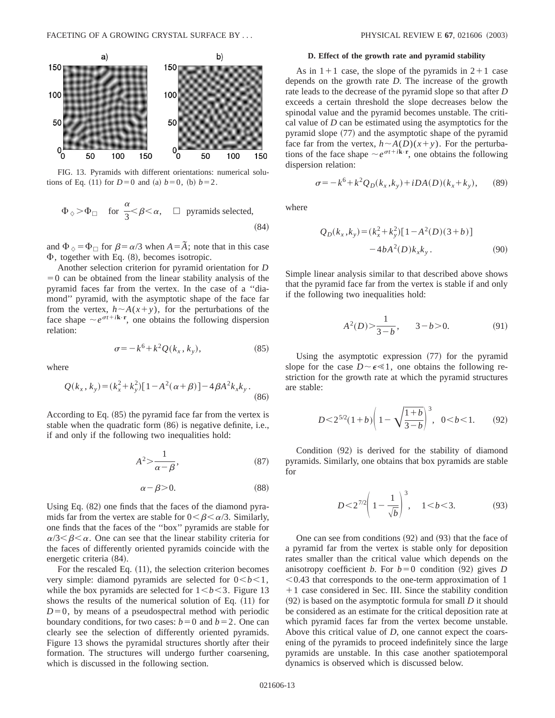

FIG. 13. Pyramids with different orientations: numerical solutions of Eq. (11) for  $D=0$  and (a)  $b=0$ , (b)  $b=2$ .

$$
\Phi_{\Diamond} > \Phi_{\Box}
$$
 for  $\frac{\alpha}{3} < \beta < \alpha$ ,  $\Box$  pyramids selected, (84)

and  $\Phi_{\lozenge} = \Phi_{\square}$  for  $\beta = \alpha/3$  when  $A = \tilde{A}$ ; note that in this case  $\Phi$ , together with Eq.  $(8)$ , becomes isotropic.

Another selection criterion for pyramid orientation for *D*  $=0$  can be obtained from the linear stability analysis of the pyramid faces far from the vertex. In the case of a ''diamond'' pyramid, with the asymptotic shape of the face far from the vertex,  $h \sim A(x+y)$ , for the perturbations of the face shape  $\sim e^{\sigma t + i\mathbf{k} \cdot \mathbf{r}}$ , one obtains the following dispersion relation:

$$
\sigma = -k^6 + k^2 Q(k_x, k_y),\tag{85}
$$

where

$$
Q(k_x, k_y) = (k_x^2 + k_y^2)[1 - A^2(\alpha + \beta)] - 4\beta A^2 k_x k_y.
$$
\n(86)

According to Eq.  $(85)$  the pyramid face far from the vertex is stable when the quadratic form  $(86)$  is negative definite, i.e., if and only if the following two inequalities hold:

$$
A^2 > \frac{1}{\alpha - \beta},\tag{87}
$$

$$
\alpha - \beta > 0. \tag{88}
$$

Using Eq.  $(82)$  one finds that the faces of the diamond pyramids far from the vertex are stable for  $0 < \beta < \alpha/3$ . Similarly, one finds that the faces of the ''box'' pyramids are stable for  $\alpha/3 < \beta < \alpha$ . One can see that the linear stability criteria for the faces of differently oriented pyramids coincide with the energetic criteria  $(84)$ .

For the rescaled Eq.  $(11)$ , the selection criterion becomes very simple: diamond pyramids are selected for  $0 < b < 1$ , while the box pyramids are selected for  $1 \leq b \leq 3$ . Figure 13 shows the results of the numerical solution of Eq.  $(11)$  for  $D=0$ , by means of a pseudospectral method with periodic boundary conditions, for two cases:  $b=0$  and  $b=2$ . One can clearly see the selection of differently oriented pyramids. Figure 13 shows the pyramidal structures shortly after their formation. The structures will undergo further coarsening, which is discussed in the following section.

# **D. Effect of the growth rate and pyramid stability**

As in  $1+1$  case, the slope of the pyramids in  $2+1$  case depends on the growth rate *D*. The increase of the growth rate leads to the decrease of the pyramid slope so that after *D* exceeds a certain threshold the slope decreases below the spinodal value and the pyramid becomes unstable. The critical value of *D* can be estimated using the asymptotics for the pyramid slope  $(77)$  and the asymptotic shape of the pyramid face far from the vertex,  $h \sim A(D)(x+y)$ . For the perturbations of the face shape  $\sim e^{\sigma t + i\mathbf{k} \cdot \mathbf{r}}$ , one obtains the following dispersion relation:

$$
\sigma = -k^6 + k^2 Q_D(k_x, k_y) + iDA(D)(k_x + k_y), \qquad (89)
$$

where

$$
Q_D(k_x, k_y) = (k_x^2 + k_y^2) [1 - A^2(D)(3 + b)]
$$
  
- 4*b*A<sup>2</sup>(*D*)*k\_xk\_y*. (90)

Simple linear analysis similar to that described above shows that the pyramid face far from the vertex is stable if and only if the following two inequalities hold:

$$
A^2(D) > \frac{1}{3-b}, \qquad 3-b > 0. \tag{91}
$$

Using the asymptotic expression  $(77)$  for the pyramid slope for the case  $D \sim \epsilon \ll 1$ , one obtains the following restriction for the growth rate at which the pyramid structures are stable:

$$
D < 2^{5/2}(1+b) \left(1 - \sqrt{\frac{1+b}{3-b}}\right)^3, \quad 0 < b < 1. \tag{92}
$$

Condition  $(92)$  is derived for the stability of diamond pyramids. Similarly, one obtains that box pyramids are stable for

$$
D < 2^{7/2} \left( 1 - \frac{1}{\sqrt{b}} \right)^3, \quad 1 < b < 3. \tag{93}
$$

One can see from conditions  $(92)$  and  $(93)$  that the face of a pyramid far from the vertex is stable only for deposition rates smaller than the critical value which depends on the anisotropy coefficient *b*. For  $b=0$  condition (92) gives *D*  $< 0.43$  that corresponds to the one-term approximation of 1  $+1$  case considered in Sec. III. Since the stability condition  $(92)$  is based on the asymptotic formula for small *D* it should be considered as an estimate for the critical deposition rate at which pyramid faces far from the vertex become unstable. Above this critical value of *D*, one cannot expect the coarsening of the pyramids to proceed indefinitely since the large pyramids are unstable. In this case another spatiotemporal dynamics is observed which is discussed below.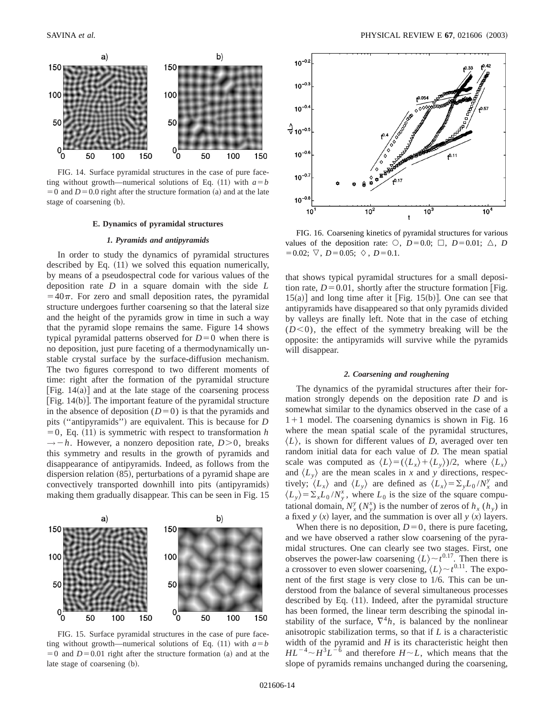

FIG. 14. Surface pyramidal structures in the case of pure faceting without growth—numerical solutions of Eq. (11) with  $a=b$  $=0$  and  $D=0.0$  right after the structure formation (a) and at the late stage of coarsening (b).

### **E. Dynamics of pyramidal structures**

### *1. Pyramids and antipyramids*

In order to study the dynamics of pyramidal structures described by Eq.  $(11)$  we solved this equation numerically, by means of a pseudospectral code for various values of the deposition rate *D* in a square domain with the side *L*  $=40\pi$ . For zero and small deposition rates, the pyramidal structure undergoes further coarsening so that the lateral size and the height of the pyramids grow in time in such a way that the pyramid slope remains the same. Figure 14 shows typical pyramidal patterns observed for  $D=0$  when there is no deposition, just pure faceting of a thermodynamically unstable crystal surface by the surface-diffusion mechanism. The two figures correspond to two different moments of time: right after the formation of the pyramidal structure [Fig. 14(a)] and at the late stage of the coarsening process  $|Fig. 14(b)|$ . The important feature of the pyramidal structure in the absence of deposition  $(D=0)$  is that the pyramids and pits ("antipyramids") are equivalent. This is because for *D*  $=0$ , Eq. (11) is symmetric with respect to transformation *h*  $\rightarrow -h$ . However, a nonzero deposition rate, *D*>0, breaks this symmetry and results in the growth of pyramids and disappearance of antipyramids. Indeed, as follows from the dispersion relation  $(85)$ , perturbations of a pyramid shape are convectively transported downhill into pits (antipyramids) making them gradually disappear. This can be seen in Fig. 15



FIG. 15. Surface pyramidal structures in the case of pure faceting without growth—numerical solutions of Eq. (11) with  $a=b$  $=0$  and  $D=0.01$  right after the structure formation (a) and at the late stage of coarsening (b).



FIG. 16. Coarsening kinetics of pyramidal structures for various values of the deposition rate:  $\circlearrowleft$ , *D*=0.0;  $\Box$ , *D*=0.01;  $\triangle$ , *D*  $=0.02; \ \nabla, \ D = 0.05; \ \diamondsuit, \ D = 0.1.$ 

that shows typical pyramidal structures for a small deposition rate,  $D=0.01$ , shortly after the structure formation [Fig.  $15(a)$ ] and long time after it [Fig. 15(b)]. One can see that antipyramids have disappeared so that only pyramids divided by valleys are finally left. Note that in the case of etching  $(D<0)$ , the effect of the symmetry breaking will be the opposite: the antipyramids will survive while the pyramids will disappear.

# *2. Coarsening and roughening*

The dynamics of the pyramidal structures after their formation strongly depends on the deposition rate *D* and is somewhat similar to the dynamics observed in the case of a  $1+1$  model. The coarsening dynamics is shown in Fig. 16 where the mean spatial scale of the pyramidal structures,  $\langle L \rangle$ , is shown for different values of *D*, averaged over ten random initial data for each value of *D*. The mean spatial scale was computed as  $\langle L \rangle = (\langle L_x \rangle + \langle L_y \rangle)/2$ , where  $\langle L_x \rangle$ and  $\langle L_v \rangle$  are the mean scales in *x* and *y* directions, respectively;  $\langle L_x \rangle$  and  $\langle L_y \rangle$  are defined as  $\langle L_x \rangle = \sum_y L_0 / N_x^y$  and  $\langle L_y \rangle = \sum_x L_0 / N_y^x$ , where  $L_0$  is the size of the square computational domain,  $N_x^y$  ( $N_y^x$ ) is the number of zeros of  $h_x$  ( $h_y$ ) in a fixed *y*  $(x)$  layer, and the summation is over all *y*  $(x)$  layers.

When there is no deposition,  $D=0$ , there is pure faceting, and we have observed a rather slow coarsening of the pyramidal structures. One can clearly see two stages. First, one observes the power-law coarsening  $\langle L \rangle \sim t^{0.17}$ . Then there is a crossover to even slower coarsening,  $\langle L \rangle \sim t^{0.11}$ . The exponent of the first stage is very close to 1/6. This can be understood from the balance of several simultaneous processes described by Eq.  $(11)$ . Indeed, after the pyramidal structure has been formed, the linear term describing the spinodal instability of the surface,  $\nabla^4 h$ , is balanced by the nonlinear anisotropic stabilization terms, so that if *L* is a characteristic width of the pyramid and *H* is its characteristic height then  $HL^{-4} \sim H^3L^{-6}$  and therefore  $H \sim L$ , which means that the slope of pyramids remains unchanged during the coarsening,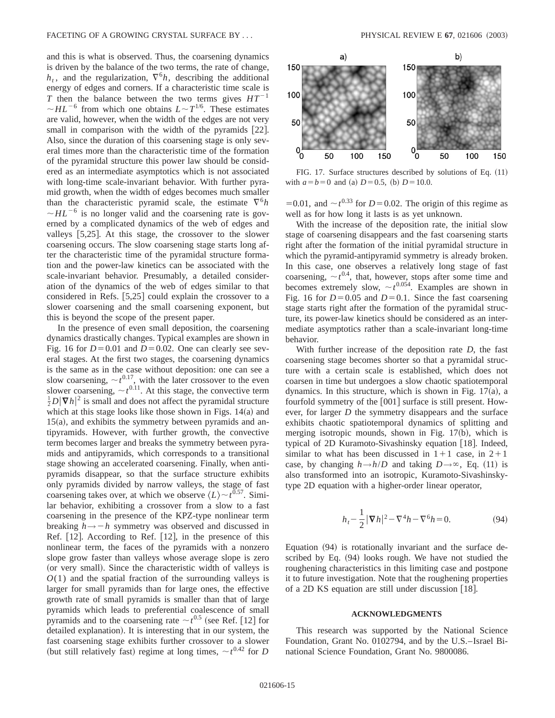and this is what is observed. Thus, the coarsening dynamics is driven by the balance of the two terms, the rate of change,  $h_t$ , and the regularization,  $\nabla^6 h$ , describing the additional energy of edges and corners. If a characteristic time scale is *T* then the balance between the two terms gives  $HT^{-1}$  $\sim$ *HL*<sup>-6</sup> from which one obtains  $L \sim T^{1/6}$ . These estimates are valid, however, when the width of the edges are not very small in comparison with the width of the pyramids  $[22]$ . Also, since the duration of this coarsening stage is only several times more than the characteristic time of the formation of the pyramidal structure this power law should be considered as an intermediate asymptotics which is not associated with long-time scale-invariant behavior. With further pyramid growth, when the width of edges becomes much smaller than the characteristic pyramid scale, the estimate  $\nabla^6 h$  $\sim$  *HL*<sup>-6</sup> is no longer valid and the coarsening rate is governed by a complicated dynamics of the web of edges and valleys  $[5,25]$ . At this stage, the crossover to the slower coarsening occurs. The slow coarsening stage starts long after the characteristic time of the pyramidal structure formation and the power-law kinetics can be associated with the scale-invariant behavior. Presumably, a detailed consideration of the dynamics of the web of edges similar to that considered in Refs.  $[5,25]$  could explain the crossover to a slower coarsening and the small coarsening exponent, but this is beyond the scope of the present paper.

In the presence of even small deposition, the coarsening dynamics drastically changes. Typical examples are shown in Fig. 16 for  $D=0.01$  and  $D=0.02$ . One can clearly see several stages. At the first two stages, the coarsening dynamics is the same as in the case without deposition: one can see a slow coarsening,  $\sim t^{0.17}$ , with the later crossover to the even slower coarsening,  $\sim t^{0.11}$ . At this stage, the convective term  $\frac{1}{2}D|\nabla h|^2$  is small and does not affect the pyramidal structure which at this stage looks like those shown in Figs.  $14(a)$  and  $15(a)$ , and exhibits the symmetry between pyramids and antipyramids. However, with further growth, the convective term becomes larger and breaks the symmetry between pyramids and antipyramids, which corresponds to a transitional stage showing an accelerated coarsening. Finally, when antipyramids disappear, so that the surface structure exhibits only pyramids divided by narrow valleys, the stage of fast coarsening takes over, at which we observe  $\langle L \rangle \sim t^{0.57}$ . Similar behavior, exhibiting a crossover from a slow to a fast coarsening in the presence of the KPZ-type nonlinear term breaking  $h \rightarrow -h$  symmetry was observed and discussed in Ref.  $[12]$ . According to Ref.  $[12]$ , in the presence of this nonlinear term, the faces of the pyramids with a nonzero slope grow faster than valleys whose average slope is zero (or very small). Since the characteristic width of valleys is *O*(1) and the spatial fraction of the surrounding valleys is larger for small pyramids than for large ones, the effective growth rate of small pyramids is smaller than that of large pyramids which leads to preferential coalescence of small pyramids and to the coarsening rate  $\sim t^{0.5}$  (see Ref. [12] for detailed explanation). It is interesting that in our system, the fast coarsening stage exhibits further crossover to a slower (but still relatively fast) regime at long times,  $\sim t^{0.42}$  for *D* 



FIG. 17. Surface structures described by solutions of Eq.  $(11)$ with  $a=b=0$  and (a)  $D=0.5$ , (b)  $D=10.0$ .

=0.01, and  $\sim t^{0.33}$  for *D* = 0.02. The origin of this regime as well as for how long it lasts is as yet unknown.

With the increase of the deposition rate, the initial slow stage of coarsening disappears and the fast coarsening starts right after the formation of the initial pyramidal structure in which the pyramid-antipyramid symmetry is already broken. In this case, one observes a relatively long stage of fast coarsening,  $\sim t^{0.4}$ , that, however, stops after some time and becomes extremely slow,  $\sim t^{0.054}$ . Examples are shown in Fig. 16 for  $D=0.05$  and  $D=0.1$ . Since the fast coarsening stage starts right after the formation of the pyramidal structure, its power-law kinetics should be considered as an intermediate asymptotics rather than a scale-invariant long-time behavior.

With further increase of the deposition rate *D*, the fast coarsening stage becomes shorter so that a pyramidal structure with a certain scale is established, which does not coarsen in time but undergoes a slow chaotic spatiotemporal dynamics. In this structure, which is shown in Fig.  $17(a)$ , a fourfold symmetry of the  $[001]$  surface is still present. However, for larger *D* the symmetry disappears and the surface exhibits chaotic spatiotemporal dynamics of splitting and merging isotropic mounds, shown in Fig.  $17(b)$ , which is typical of 2D Kuramoto-Sivashinsky equation [18]. Indeed, similar to what has been discussed in  $1+1$  case, in  $2+1$ case, by changing  $h \rightarrow h/D$  and taking  $D \rightarrow \infty$ , Eq. (11) is also transformed into an isotropic, Kuramoto-Sivashinskytype 2D equation with a higher-order linear operator,

$$
h_t - \frac{1}{2} |\nabla h|^2 - \nabla^4 h - \nabla^6 h = 0.
$$
 (94)

Equation  $(94)$  is rotationally invariant and the surface described by Eq.  $(94)$  looks rough. We have not studied the roughening characteristics in this limiting case and postpone it to future investigation. Note that the roughening properties of a 2D KS equation are still under discussion  $[18]$ .

## **ACKNOWLEDGMENTS**

This research was supported by the National Science Foundation, Grant No. 0102794, and by the U.S.–Israel Binational Science Foundation, Grant No. 9800086.